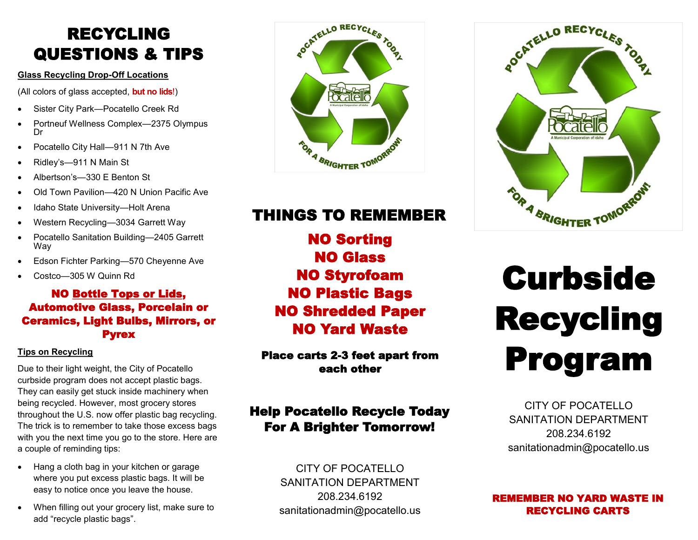## RECYCLING QUESTIONS & TIPS

#### **Glass Recycling Drop-Off Locations**

(All colors of glass accepted, **but no lids**!)

- Sister City Park—Pocatello Creek Rd
- Portneuf Wellness Complex—2375 Olympus Dr
- Pocatello City Hall—911 N 7th Ave
- Ridley's—911 N Main St
- Albertson's—330 E Benton St
- Old Town Pavilion—420 N Union Pacific Ave
- Idaho State University—Holt Arena
- Western Recycling—3034 Garrett Way
- Pocatello Sanitation Building—2405 Garrett Way
- Edson Fichter Parking—570 Cheyenne Ave
- Costco—305 W Quinn Rd

#### NO Bottle Tops or Lids, Automotive Glass, Porcelain or Ceramics, Light Bulbs, Mirrors, or Pyrex

#### **Tips on Recycling**

Due to their light weight, the City of Pocatello curbside program does not accept plastic bags. They can easily get stuck inside machinery when being recycled. However, most grocery stores throughout the U.S. now offer plastic bag recycling. The trick is to remember to take those excess bags with you the next time you go to the store. Here are a couple of reminding tips:

- Hang a cloth bag in your kitchen or garage where you put excess plastic bags. It will be easy to notice once you leave the house.
- When filling out your grocery list, make sure to add "recycle plastic bags".



## THINGS TO REMEMBER

NO Sorting NO Glass NO Styrofoam NO Plastic Bags NO Shredded Paper NO Yard Waste

Place carts 2-3 feet apart from each other

### Help Pocatello Recycle Today For A Brighter Tomorrow!

CITY OF POCATELLO SANITATION DEPARTMENT 208.234.6192 sanitationadmin@pocatello.us



# Curbside Recycling Program

CITY OF POCATELLO SANITATION DEPARTMENT 208.234.6192 sanitationadmin@pocatello.us

REMEMBER NO YARD WASTE IN RECYCLING CARTS